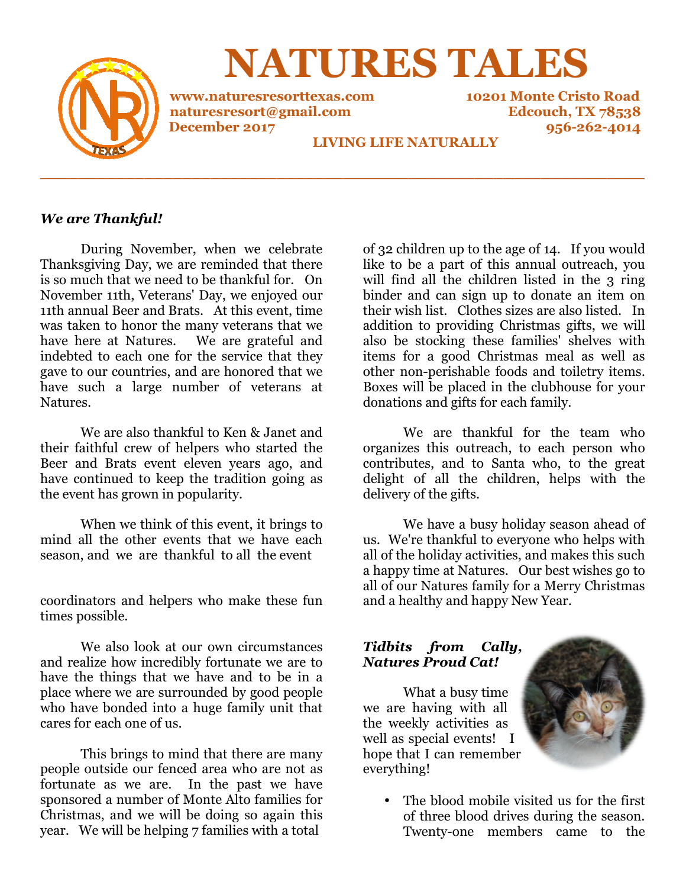

**NATURES TALES**

**www.naturesresorttexas.com www.naturesresorttexas.com 10201 Monte Cristo Road December 2017**

**naturesresort@gmail.com Edcouch, TX 78538 naturesresort@gmail.com 10201 Monte 956-262-4014** 

### **LIVING LIFE NATURALLY**

**\_\_\_\_\_\_\_\_\_\_\_\_\_\_\_\_\_\_\_\_\_\_\_\_\_\_\_\_\_\_\_\_\_\_\_\_\_\_\_\_\_\_\_\_\_\_\_\_\_\_\_\_\_\_\_\_\_\_\_\_\_\_\_\_**

### *We are Thankful!*

During November, when we celebrate Thanksgiving Day, we are reminded that there is so much that we need to be thankful for. On November 11th, Veterans' Day, we enjoyed our 11th annual Beer and Brats. At this event, time was taken to honor the many veterans that we was taken to honor the many veterans that we<br>have here at Natures. We are grateful and indebted to each one for the service that they gave to our countries, and are honored that we gave to our countries, and are honored that we<br>have such a large number of veterans at Natures. During November, when we celebrate<br>also always have are reminded that there<br>much that we need to be thankful for. On<br>ember 11th, Veterans' Day, we enjoyed our<br>annual Beer and Brats. At this event, time

We are also thankful to Ken & Janet and their faithful crew of helpers who started the Beer and Brats event eleven years ago, and have continued to keep the tradition going as the event has grown in popularity. We are also thankful to Ken & Janet and<br>faithful crew of helpers who started the<br>and Brats event eleven years ago, and<br>continued to keep the tradition going as<br>ent has grown in popularity.<br>When we think of this event, it b

When we think of this event, it brings to mind all the other events that we have each season, and we are thankful to all the event

coordinators and helpers who make these fun times possible.

We also look at our own circumstances and realize how incredibly fortunate we are to have the things that we have and to be in a place where we are surrounded by good people who have bonded into a huge family unit that cares for each one of us. nators and helpers who make these fun<br>possible.<br>We also look at our own circumstances<br>alize how incredibly fortunate we are to<br>he things that we have and to be in a

This brings to mind that there are many people outside our fenced area who are not as fortunate as we are. In the past we have sponsored a number of Monte Alto families Christmas, and we will be doing so again this year. We will be helping 7 families with a total we are surrounded by good people<br>onded into a huge family unit that<br>h one of us.<br>prings to mind that there are many<br>de our fenced area who are not as<br>we are. In the past we have<br>number of Monte Alto families for

of 32 children up to the age of 14. If you would like to be a part of this annual outreach, you will find all the children listed in the 3 ring like to be a part of this annual outreach, you<br>will find all the children listed in the 3 ring<br>binder and can sign up to donate an item on their wish list. Clothes sizes are also listed. In addition to providing Christmas gifts, we will also be stocking these families' shelves with items for a good Christmas meal as well as other non-perishable foods and toiletry items. Boxes will be placed in the clubhouse for donations and gifts for each family. their wish list. Clothes sizes are also listed. In addition to providing Christmas gifts, we will also be stocking these families' shelves with items for a good Christmas meal as well as other non-perishable foods and toil

We are thankful for the team who organizes this outreach, to each person who organizes this outreach, to each person who<br>contributes, and to Santa who, to the great delight of all the children the children, helps with the delivery of the gifts.

We have a busy holiday season ahead of us. We're thankful to everyone who helps with all of the holiday activities, and makes this s a happy time at Natures. Our best wishes go to a happy time at Natures. Our best wishes go to<br>all of our Natures family for a Merry Christmas and a healthy and happy New Year. We have a busy holiday season ahead of<br>e're thankful to everyone who helps with<br>he holiday activities, and makes this such

#### *Tidbits from Cally, Natures Proud Cat!*

 What a busy time we are having with all the weekly activities as well as special events! I hope that I can remember everything! and a healthy and happy New<br> **Tidbits** from Cally,<br> **Natures Proud Cat!**<br>
What a busy time<br>
we are having with all<br>
the weekly activities as<br>
well as special events! I



• The blood mobile visited us for the first of three blood drives during the season. of three blood drives during the season.<br>Twenty-one members came to the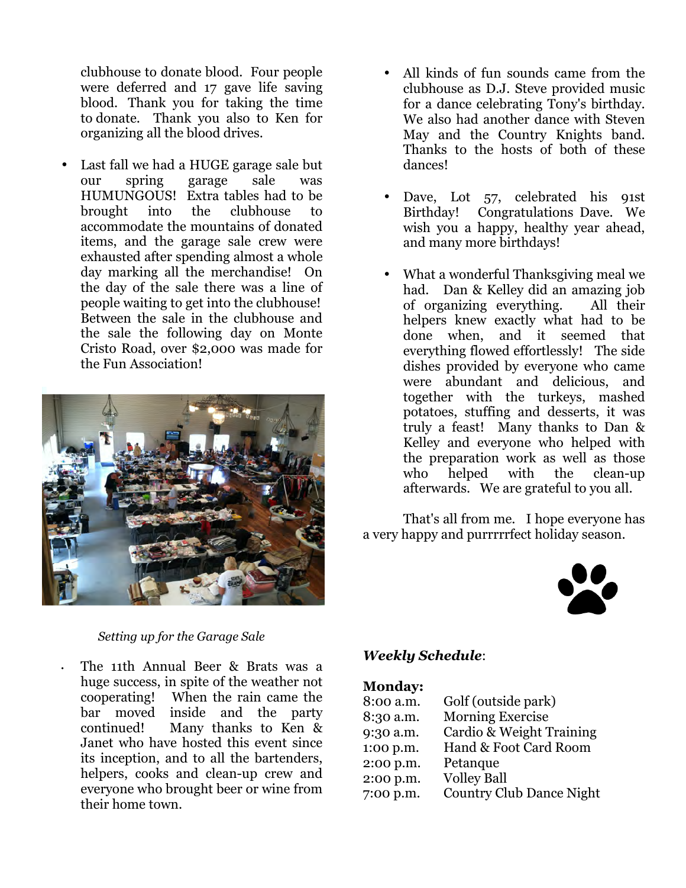clubhouse to donate blood. Four people were deferred and 17 gave life saving blood. Thank you for taking the time to donate. Thank you also to Ken for organizing all the blood drives.

Last fall we had a HUGE garage sale but our spring garage sale was HUMUNGOUS! Extra tables had to be brought into the clubhouse to accommodate the mountains of donated items, and the garage sale crew were exhausted after spending almost a whole day marking all the merchandise! On the day of the sale there was a line of people waiting to get into the clubhouse! Between the sale in the clubhouse and the sale the following day on Monte Cristo Road, over \$2,000 was made for the Fun Association!



#### *Setting up for the Garage Sale*

• The 11th Annual Beer & Brats was a huge success, in spite of the weather not cooperating! When the rain came the bar moved inside and the party continued! Many thanks to Ken & Janet who have hosted this event since its inception, and to all the bartenders, helpers, cooks and clean-up crew and everyone who brought beer or wine from their home town.

- All kinds of fun sounds came from the clubhouse as D.J. Steve provided music for a dance celebrating Tony's birthday. We also had another dance with Steven May and the Country Knights band. Thanks to the hosts of both of these dances!
- Dave, Lot 57, celebrated his 91st Birthday! Congratulations Dave. We wish you a happy, healthy year ahead, and many more birthdays!
- What a wonderful Thanksgiving meal we had. Dan & Kelley did an amazing job of organizing everything. All their helpers knew exactly what had to be done when, and it seemed that everything flowed effortlessly! The side dishes provided by everyone who came were abundant and delicious, and together with the turkeys, mashed potatoes, stuffing and desserts, it was truly a feast! Many thanks to Dan & Kelley and everyone who helped with the preparation work as well as those who helped with the clean-up afterwards. We are grateful to you all.

 That's all from me. I hope everyone has a very happy and purrrrrfect holiday season.



### *Weekly Schedule*:

#### **Monday:**

| 8:00 a.m. | Golf (outside park)             |
|-----------|---------------------------------|
| 8:30 a.m. | <b>Morning Exercise</b>         |
| 9:30 a.m. | Cardio & Weight Training        |
| 1:00 p.m. | Hand & Foot Card Room           |
| 2:00 p.m. | Petanque                        |
| 2:00 p.m. | <b>Volley Ball</b>              |
| 7:00 p.m. | <b>Country Club Dance Night</b> |
|           |                                 |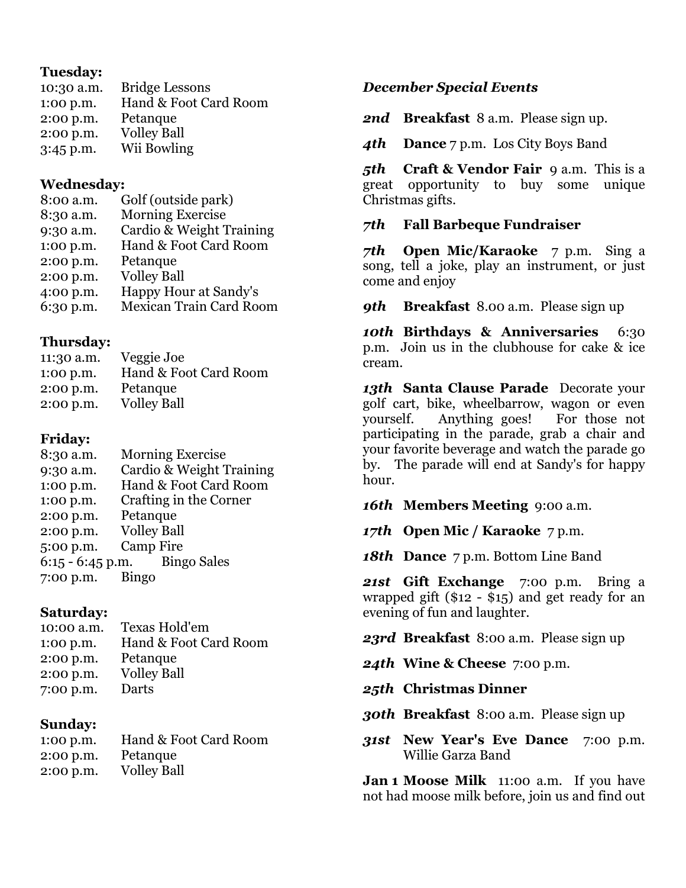# **Tuesday:**

| 10:30 a.m. | <b>Bridge Lessons</b> |
|------------|-----------------------|
| 1:00 p.m.  | Hand & Foot Card Room |
| 2:00 p.m.  | Petanque              |
| 2:00 p.m.  | <b>Volley Ball</b>    |
| 3:45 p.m.  | Wii Bowling           |

### **Wednesday:**

| 8:00 a.m. | Golf (outside park)            |
|-----------|--------------------------------|
| 8:30 a.m. | <b>Morning Exercise</b>        |
| 9:30 a.m. | Cardio & Weight Training       |
| 1:00 p.m. | Hand & Foot Card Room          |
| 2:00 p.m. | Petanque                       |
| 2:00 p.m. | <b>Volley Ball</b>             |
| 4:00 p.m. | Happy Hour at Sandy's          |
| 6:30 p.m. | <b>Mexican Train Card Room</b> |

## **Thursday:**

| 11:30 a.m. | Veggie Joe            |
|------------|-----------------------|
| 1:00 p.m.  | Hand & Foot Card Room |
| 2:00 p.m.  | Petanque              |
| 2:00 p.m.  | <b>Volley Ball</b>    |

# **Friday:**

| <b>Morning Exercise</b>        |
|--------------------------------|
| Cardio & Weight Training       |
| Hand & Foot Card Room          |
| Crafting in the Corner         |
| Petanque                       |
| <b>Volley Ball</b>             |
| <b>Camp Fire</b>               |
| $6:15 - 6:45$ p.m. Bingo Sales |
| <b>Bingo</b>                   |
|                                |

# **Saturday:**

| 10:00 a.m. | Texas Hold'em         |
|------------|-----------------------|
| 1:00 p.m.  | Hand & Foot Card Room |
| 2:00 p.m.  | Petanque              |
| 2:00 p.m.  | <b>Volley Ball</b>    |
| 7:00 p.m.  | Darts                 |

# **Sunday:**

| 1:00 p.m. | Hand & Foot Card Room |
|-----------|-----------------------|
| 2:00 p.m. | Petanque              |
| 2:00 p.m. | <b>Volley Ball</b>    |

## *December Special Events*

*2nd* **Breakfast** 8 a.m. Please sign up.

*4th* **Dance** 7 p.m. Los City Boys Band

*5th* **Craft & Vendor Fair** 9 a.m. This is a great opportunity to buy some unique Christmas gifts.

## *7th* **Fall Barbeque Fundraiser**

*7th* **Open Mic/Karaoke** 7 p.m. Sing a song, tell a joke, play an instrument, or just come and enjoy

*9th* **Breakfast** 8.00 a.m. Please sign up

*10th* **Birthdays & Anniversaries** 6:30 p.m. Join us in the clubhouse for cake & ice cream.

*13th* **Santa Clause Parade** Decorate your golf cart, bike, wheelbarrow, wagon or even yourself. Anything goes! For those not participating in the parade, grab a chair and your favorite beverage and watch the parade go by. The parade will end at Sandy's for happy hour.

*16th* **Members Meeting** 9:00 a.m.

*17th* **Open Mic / Karaoke** 7 p.m.

*18th* **Dance** 7 p.m. Bottom Line Band

*21st* **Gift Exchange** 7:00 p.m. Bring a wrapped gift (\$12 - \$15) and get ready for an evening of fun and laughter.

*23rd* **Breakfast** 8:00 a.m. Please sign up

*24th* **Wine & Cheese** 7:00 p.m.

*25th* **Christmas Dinner**

*30th* **Breakfast** 8:00 a.m. Please sign up

*31st* **New Year's Eve Dance** 7:00 p.m. Willie Garza Band

**Jan 1 Moose Milk** 11:00 a.m. If you have not had moose milk before, join us and find out